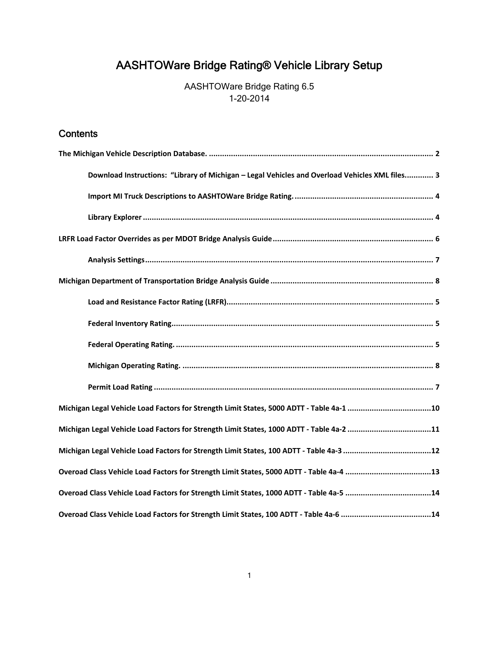# AASHTOWare Bridge Rating® Vehicle Library Setup

AASHTOWare Bridge Rating 6.5 1-20-2014

# **Contents**

| Download Instructions: "Library of Michigan - Legal Vehicles and Overload Vehicles XML files 3 |
|------------------------------------------------------------------------------------------------|
|                                                                                                |
|                                                                                                |
|                                                                                                |
|                                                                                                |
|                                                                                                |
|                                                                                                |
|                                                                                                |
|                                                                                                |
|                                                                                                |
|                                                                                                |
| Michigan Legal Vehicle Load Factors for Strength Limit States, 5000 ADTT - Table 4a-1 10       |
| Michigan Legal Vehicle Load Factors for Strength Limit States, 1000 ADTT - Table 4a-2 11       |
|                                                                                                |
|                                                                                                |
| Overoad Class Vehicle Load Factors for Strength Limit States, 1000 ADTT - Table 4a-5 14        |
| Overoad Class Vehicle Load Factors for Strength Limit States, 100 ADTT - Table 4a-6 14         |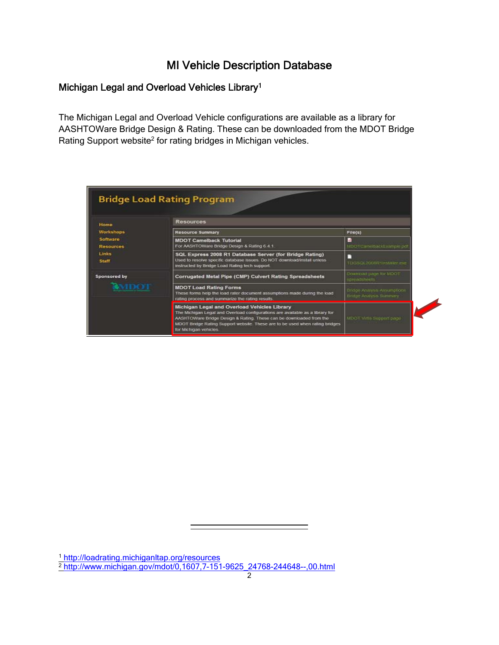# MI Vehicle Description Database

# Michigan Legal and Overload Vehicles Library1

The Michigan Legal and Overload Vehicle configurations are available as a library for AASHTOWare Bridge Design & Rating. These can be downloaded from the MDOT Bridge Rating Support website<sup>2</sup> for rating bridges in Michigan vehicles.

|                                     | <b>Bridge Load Rating Program</b><br><b>Resources</b>                                                                                                                                                                                                                                                          |                                                               |
|-------------------------------------|----------------------------------------------------------------------------------------------------------------------------------------------------------------------------------------------------------------------------------------------------------------------------------------------------------------|---------------------------------------------------------------|
| Home<br>Workshops                   | <b>Resource Summary</b>                                                                                                                                                                                                                                                                                        | File(s)                                                       |
| <b>Software</b><br><b>Resources</b> | <b>MDOT Camelback Tutorial</b><br>For AASHTOWare Bridge Design & Rating 6.4.1.                                                                                                                                                                                                                                 | $^{12}$<br>MDDT CamelbabkExample.pdf                          |
| Links<br><b>Staff</b>               | SQL Express 2008 R1 Database Server (for Bridge Rating)<br>Used to resolve specific database issues. Do NOT download/install unless<br>instructed by Bridge Load Rating tech support.                                                                                                                          | TDGSCA2008R1Installer ese                                     |
| Sponsored by                        | Corrugated Metal Pipe (CMP) Culvert Rating Spreadsheets                                                                                                                                                                                                                                                        | Download bage for MDOT<br>spreadsheets.                       |
| <b>WAIDOT</b>                       | <b>MDOT Load Rating Forms</b><br>These forms help the load rater document assumptions made during the load<br>rating process and summarize the rating results.                                                                                                                                                 | Bridge Analysis Assumptions<br><b>Bridge Analysis Summary</b> |
|                                     | Michigan Legal and Overload Vehicles Library<br>The Michigan Legal and Overload configurations are available as a library for<br>AASHTOWare Bridge Design & Rating. These can be downloaded from the<br>MDOT Bridge Rating Support website. These are to be used when rating bridges<br>for Michigan vehicles. | MDOT Virtis Support page                                      |

<sup>1</sup> http://loadrating.michiganltap.org/resources 2 http://www.michigan.gov/mdot/0,1607,7-151-9625\_24768-244648--,00.html

 $\overline{a}$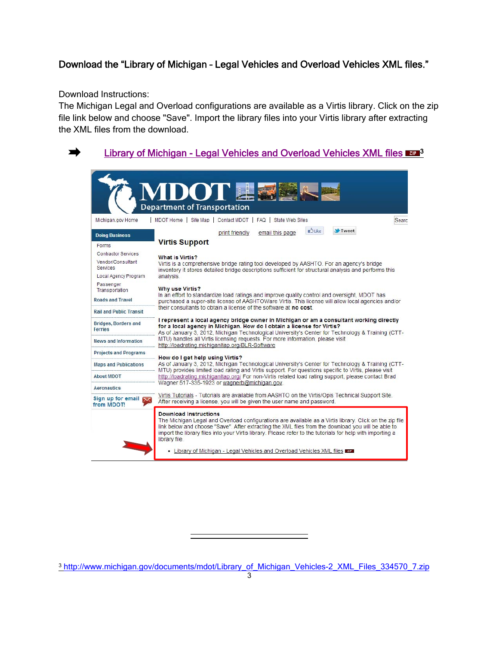# Download the "Library of Michigan – Legal Vehicles and Overload Vehicles XML files."

Download Instructions:

 $\blacksquare$ 

The Michigan Legal and Overload configurations are available as a Virtis library. Click on the zip file link below and choose "Save". Import the library files into your Virtis library after extracting the XML files from the download.

#### Library of Michigan - Legal Vehicles and Overload Vehicles XML files  $\mathbb{Z}^2$ <sup>3</sup> **Department of Transportation** | MDOT Home | Site Map | Contact MDOT | FAQ | State Web Sites Michigan.gov Home Searc **D**Like **V** Tweet print friendly email this page **Doing Business Virtis Support** Forms Contractor Services What is Virtis? Vendor/Consultant Virtis is a comprehensive bridge rating tool developed by AASHTO. For an agency's bridge Services inventory it stores detailed bridge descriptions sufficient for structural analysis and performs this Local Agency Program analysis Passenger **Why use Virtis?** Transportation In an effort to standardize load ratings and improve quality control and oversight, MDOT has Roads and Travel purchased a super-site license of AASHTOWare Virtis. This license will allow local agencies and/or their consultants to obtain a license of the software at no cost. **Rail and Public Transit** I represent a local agency bridge owner in Michigan or am a consultant working directly **Bridges, Borders and** for a local agency in Michigan. How do I obtain a license for Virtis? Ferries As of January 3, 2012, Michigan Technological University's Center for Technology & Training (CTT-MTU) handles all Virtis licensing requests. For more information, please visit **News and Information** http://loadrating.michiganitap.org/BLR-Software **Projects and Programs** How do I get help using Virtis? As of January 3, 2012, Michigan Technological University's Center for Technology & Training (CTT-**Maps and Publications** MTU) provides limited load rating and Virtis support. For questions specific to Virtis, please visit **About MDOT** http://loadrating.michiganltap.org/ For non-Virtis related load rating support, please contact Brad Wagner 517-335-1923 or wagnerb@michigan.gov. Aeronautics Virtis Tutorials - Tutorials are available from AASHTO on the Virtis/Opis Technical Support Site. Sign up for email After receiving a license, you will be given the user name and password. from MDOT! **Download Instructions** The Michigan Legal and Overload configurations are available as a Virtis library. Click on the zip file link below and choose "Save". After extracting the XML files from the download you will be able to import the library files into your Virtis library. Please refer to the tutorials for help with importing a library file . Library of Michigan - Legal Vehicles and Overload Vehicles XML files I

<sup>3</sup> http://www.michigan.gov/documents/mdot/Library\_of\_Michigan\_Vehicles-2\_XML\_Files\_334570\_7.zip

 $\overline{a}$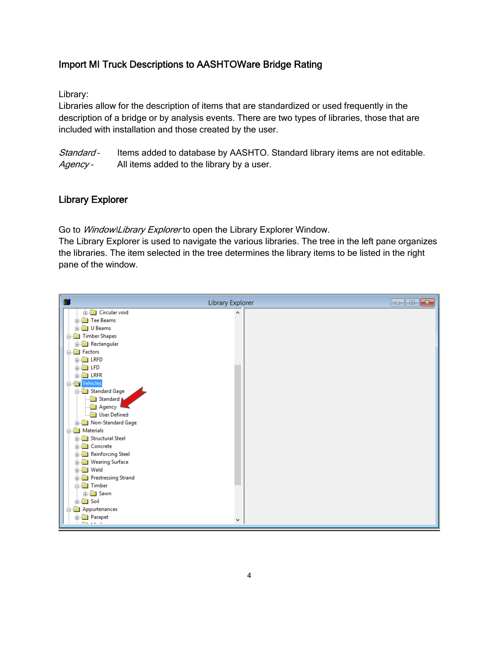#### Import MI Truck Descriptions to AASHTOWare Bridge Rating

Library:

Libraries allow for the description of items that are standardized or used frequently in the description of a bridge or by analysis events. There are two types of libraries, those that are included with installation and those created by the user.

Standard - Items added to database by AASHTO. Standard library items are not editable. Agency - All items added to the library by a user.

#### Library Explorer

Go to Window\Library Explorer to open the Library Explorer Window.

The Library Explorer is used to navigate the various libraries. The tree in the left pane organizes the libraries. The item selected in the tree determines the library items to be listed in the right pane of the window.

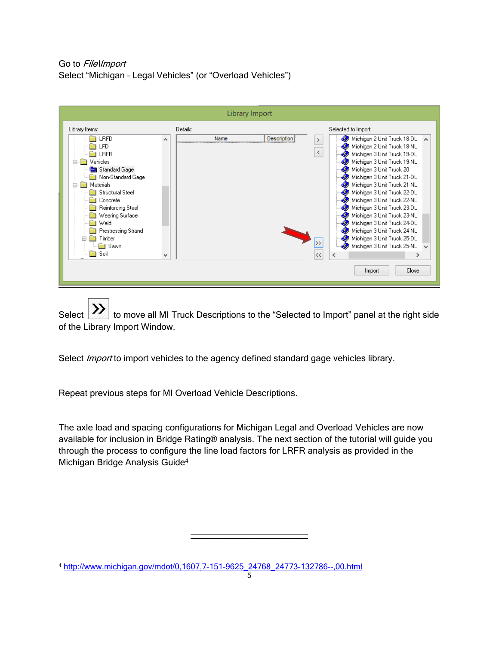Go to File\Import Select "Michigan – Legal Vehicles" (or "Overload Vehicles")

| Library Import                                                                                                                                                                                                                                                                                                                                                                                                                                                                                                                                                                                                                                                                                                                                                                                                                                                                                                            |  |
|---------------------------------------------------------------------------------------------------------------------------------------------------------------------------------------------------------------------------------------------------------------------------------------------------------------------------------------------------------------------------------------------------------------------------------------------------------------------------------------------------------------------------------------------------------------------------------------------------------------------------------------------------------------------------------------------------------------------------------------------------------------------------------------------------------------------------------------------------------------------------------------------------------------------------|--|
| Library Items:<br>Selected to Import:<br>Details:<br><b>Description</b><br><b>LRFD</b><br>Michigan 2 Unit Truck 18-DL A<br>Name<br>$\hat{\phantom{a}}$<br>$\rightarrow$<br>Michigan 2 Unit Truck 18-NL<br>LFD<br>$\langle$<br>Michigan 3 Unit Truck 19-DL<br><b>LRFR</b><br>Michigan 3 Unit Truck 19-NL<br>Vehicles<br>Standard Gage<br>Michigan 3 Unit Truck 20<br>Michigan 3 Unit Truck 21-DL<br>Non-Standard Gage<br>Michigan 3 Unit Truck 21-NL<br>Materials<br><b>Structural Steel</b><br>Michigan 3 Unit Truck 22-DL<br>Michigan 3 Unit Truck 22-NL<br>Concrete<br>Reinforcing Steel<br>Michigan 3 Unit Truck 23-DL<br>Michigan 3 Unit Truck 23-NL<br>Wearing Surface<br>Weld<br>Michigan 3 Unit Truck 24-DL<br>Michigan 3 Unit Truck 24-NL<br>Prestressing Strand<br>Michigan 3 Unit Truck 25-DL<br>Timber<br>$\rightarrow$<br>Michigan 3 Unit Truck 25-NL<br>Sawn<br>Soil<br><<<br>∢<br>v<br>⋗<br>Close<br>Import |  |

Select **XX** to move all MI Truck Descriptions to the "Selected to Import" panel at the right side of the Library Import Window.

Select *Import* to import vehicles to the agency defined standard gage vehicles library.

Repeat previous steps for MI Overload Vehicle Descriptions.

The axle load and spacing configurations for Michigan Legal and Overload Vehicles are now available for inclusion in Bridge Rating® analysis. The next section of the tutorial will guide you through the process to configure the line load factors for LRFR analysis as provided in the Michigan Bridge Analysis Guide4

<sup>4</sup> http://www.michigan.gov/mdot/0,1607,7-151-9625\_24768\_24773-132786--,00.html

 $\overline{a}$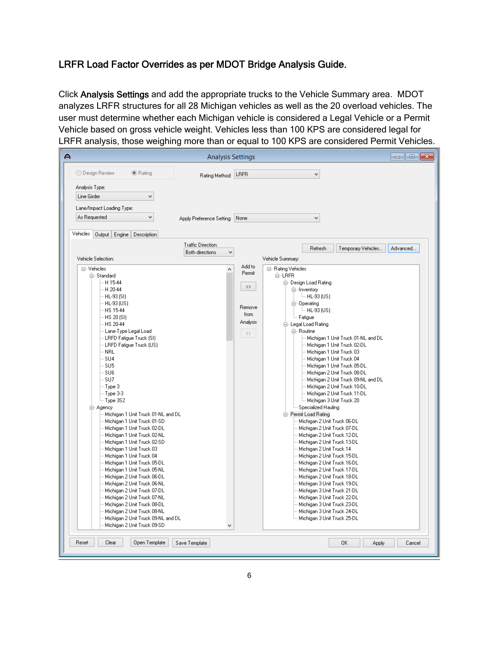# LRFR Load Factor Overrides as per MDOT Bridge Analysis Guide.

Click Analysis Settings and add the appropriate trucks to the Vehicle Summary area. MDOT analyzes LRFR structures for all 28 Michigan vehicles as well as the 20 overload vehicles. The user must determine whether each Michigan vehicle is considered a Legal Vehicle or a Permit Vehicle based on gross vehicle weight. Vehicles less than 100 KPS are considered legal for LRFR analysis, those weighing more than or equal to 100 KPS are considered Permit Vehicles.

| ДD,                                                                                                                                                                                                                                                                                                                                                                                                                                                                                                                                                                                                                                                                                                                                                                 | <b>Analysis Settings</b>                                                                |                                                                         | $\begin{array}{c} \hline \begin{array}{c} \hline \end{array} & \mathbf{0} \end{array} \begin{array}{c} \hline \begin{array}{c} \mathbf{X} \end{array} \end{array}$                                                                                                                                                                                                                                                                                                                                                                                                                                                                                                                                                                                                                                                                                                                           |
|---------------------------------------------------------------------------------------------------------------------------------------------------------------------------------------------------------------------------------------------------------------------------------------------------------------------------------------------------------------------------------------------------------------------------------------------------------------------------------------------------------------------------------------------------------------------------------------------------------------------------------------------------------------------------------------------------------------------------------------------------------------------|-----------------------------------------------------------------------------------------|-------------------------------------------------------------------------|----------------------------------------------------------------------------------------------------------------------------------------------------------------------------------------------------------------------------------------------------------------------------------------------------------------------------------------------------------------------------------------------------------------------------------------------------------------------------------------------------------------------------------------------------------------------------------------------------------------------------------------------------------------------------------------------------------------------------------------------------------------------------------------------------------------------------------------------------------------------------------------------|
| ◯ Design Review<br>● Rating                                                                                                                                                                                                                                                                                                                                                                                                                                                                                                                                                                                                                                                                                                                                         | Rating Method:                                                                          | LRFR                                                                    | $\forall$                                                                                                                                                                                                                                                                                                                                                                                                                                                                                                                                                                                                                                                                                                                                                                                                                                                                                    |
| Analysis Type:<br>Line Girder<br>v<br>Lane/Impact Loading Type:<br>As Requested<br>v<br>Vehicles<br>Output<br>Engine<br>Description<br>Vehicle Selection:<br>⊟- Vehicles<br>白·Standard<br>-- H 15-44<br>H 20-44<br>· HL-93 (SI)<br>- HL-93 (US)<br>- HS 15-44<br>- HS 20 (SI)<br>- HS 20-44<br>- Lane-Type Legal Load<br>- LRFD Fatigue Truck (SI)<br>- LRFD Fatique Truck (US)<br>- NRL<br>- SU4<br>SU5<br>· SU6<br>- SU7<br>Type 3<br>Type 3-3<br>-- Type 3S2<br>⊟⊹Agency<br>Michigan 1 Unit Truck 01-NL and DL<br>Michigan 1 Unit Truck 01-SD<br>Michigan 1 Unit Truck 02-DL<br>Michigan 1 Unit Truck 02-NL<br>Michigan 1 Unit Truck 02-SD<br>Michigan 1 Unit Truck 03<br>Michigan 1 Unit Truck 04<br>Michigan 1 Unit Truck 05-DL<br>Michigan 1 Unit Truck 05-NL | Apply Preference Setting:<br>Traffic Direction:<br>Both directions<br>$\checkmark$<br>۸ | None<br>Add to<br>Permit<br>$\,>$<br>Remove<br>from<br>Analysis<br>$<<$ | $\forall$<br>Advanced<br>Refresh<br>Temporary Vehicles<br>Vehicle Summary:<br>⊟- Rating Vehicles<br>白·LRFR<br>白 Design Load Rating<br><b>⊟</b> -Inventory<br>$-$ HL-93 (US)<br>白 Operating<br>$-$ HL-93 (US)<br>Fatigue<br>白· Legal Load Rating<br>白· Routine<br>Michigan 1 Unit Truck 01-NL and DL<br>Michigan 1 Unit Truck 02-DL<br>Michigan 1 Unit Truck 03<br>Michigan 1 Unit Truck 04<br>Michigan 1 Unit Truck 05-DL<br>Michigan 2 Unit Truck 08-DL<br>Michigan 2 Unit Truck 09-NL and DL<br>Michigan 2 Unit Truck 10-DL<br>Michigan 2 Unit Truck 11-DL<br>Michigan 3 Unit Truck 20<br>Specialized Hauling<br>白 Permit Load Rating<br>Michigan 2 Unit Truck 06-DL<br>Michigan 2 Unit Truck 07-DL<br>Michigan 2 Unit Truck 12-DL<br>Michigan 2 Unit Truck 13-DL<br>Michigan 2 Unit Truck 14<br>Michigan 2 Unit Truck 15-DL<br>Michigan 2 Unit Truck 16-DL<br>Michigan 2 Unit Truck 17-DL |
| Michigan 2 Unit Truck 06-DL<br>Michigan 2 Unit Truck 06-NL<br>Michigan 2 Unit Truck 07-DL<br>Michigan 2 Unit Truck 07-NL<br>Michigan 2 Unit Truck 08-DL                                                                                                                                                                                                                                                                                                                                                                                                                                                                                                                                                                                                             |                                                                                         |                                                                         | Michigan 2 Unit Truck 18-DL<br>Michigan 3 Unit Truck 19-DL<br>Michigan 3 Unit Truck 21-DL<br>Michigan 3 Unit Truck 22-DL<br>Michigan 3 Unit Truck 23-DL                                                                                                                                                                                                                                                                                                                                                                                                                                                                                                                                                                                                                                                                                                                                      |
| Michigan 2 Unit Truck 08-NL<br>Michigan 2 Unit Truck 09-NL and DL<br>Michigan 2 Unit Truck 09-SD<br>Reset<br>Clear<br>Open Template                                                                                                                                                                                                                                                                                                                                                                                                                                                                                                                                                                                                                                 | v<br>Save Template                                                                      |                                                                         | Michigan 3 Unit Truck 24-DL<br>Michigan 3 Unit Truck 25-DL<br>0K<br>Apply<br>Cancel                                                                                                                                                                                                                                                                                                                                                                                                                                                                                                                                                                                                                                                                                                                                                                                                          |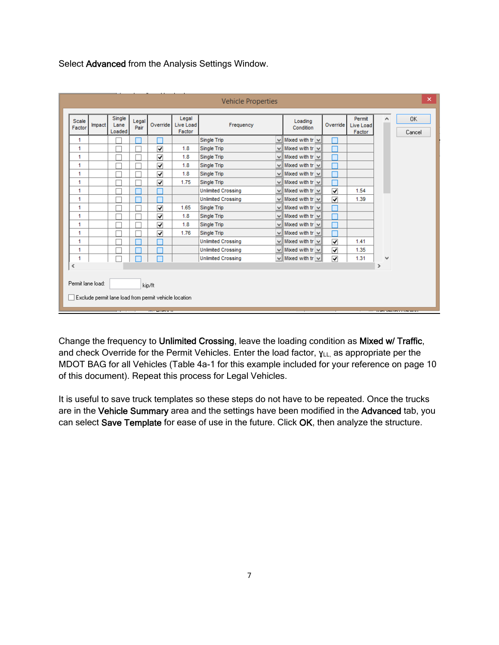Select Advanced from the Analysis Settings Window.

| Scale<br>Factor             | Impact | Single<br>Lane<br>Loaded | Legal<br>Pair | Override                | Legal<br><b>Live Load</b><br>Factor | Frequency                 |  | Loading<br>Condition        | Override                | Permit<br>Live Load<br>Factor | ۸             | 0K<br>Cancel |
|-----------------------------|--------|--------------------------|---------------|-------------------------|-------------------------------------|---------------------------|--|-----------------------------|-------------------------|-------------------------------|---------------|--------------|
| 1                           |        |                          |               |                         |                                     | Single Trip               |  | $\vee$ Mixed with tr $\vee$ |                         |                               |               |              |
| 1                           |        |                          |               | √                       | 1.8                                 | Single Trip               |  | $\vee$ Mixed with tr $\vee$ |                         |                               |               |              |
| 1                           |        |                          |               | ⊽                       | 1.8                                 | Single Trip               |  | $\vee$ Mixed with tr $\vee$ |                         |                               |               |              |
| 1                           |        |                          |               | $\overline{\mathbf{v}}$ | 1.8                                 | Single Trip               |  | $\vee$ Mixed with tr $\vee$ |                         |                               |               |              |
| 1                           |        |                          |               | $\overline{\mathbf{v}}$ | 1.8                                 | <b>Single Trip</b>        |  | $\vee$ Mixed with tr $\vee$ |                         |                               |               |              |
| 1                           |        |                          |               | ⊽                       | 1.75                                | Single Trip               |  | $\vee$ Mixed with tr $\vee$ |                         |                               |               |              |
| 1                           |        |                          |               |                         |                                     | <b>Unlimited Crossing</b> |  | $\vee$ Mixed with tr $\vee$ | ▿                       | 1.54                          |               |              |
| 1                           |        |                          |               |                         |                                     | <b>Unlimited Crossing</b> |  | $\vee$ Mixed with tr $\vee$ | √                       | 1.39                          |               |              |
| 1                           |        |                          |               | $\overline{\mathbf{v}}$ | 1.65                                | <b>Single Trip</b>        |  | $\vee$ Mixed with tr $\vee$ |                         |                               |               |              |
| 1                           |        |                          |               | $\overline{\mathbf{v}}$ | 1.8                                 | Single Trip               |  | $\vee$ Mixed with tr $\vee$ |                         |                               |               |              |
| 1                           |        |                          |               | $\overline{\mathbf{v}}$ | 1.8                                 | Single Trip               |  | $\vee$ Mixed with tr $\vee$ |                         |                               |               |              |
| 1                           |        |                          |               | ⊽                       | 1.76                                | Single Trip               |  | $\vee$ Mixed with tr $\vee$ |                         |                               |               |              |
| 1                           |        |                          |               |                         |                                     | <b>Unlimited Crossing</b> |  | $\vee$ Mixed with tr $\vee$ | √                       | 1.41                          |               |              |
| 1                           |        |                          |               |                         |                                     | <b>Unlimited Crossing</b> |  | $\vee$ Mixed with tr $\vee$ | $\overline{\mathbf{v}}$ | 1.35                          |               |              |
| 1                           |        |                          |               |                         |                                     | <b>Unlimited Crossing</b> |  | $\vee$ Mixed with tr $\vee$ | ⊽                       | 1.31                          | ٧             |              |
| $\,<$                       |        |                          |               |                         |                                     |                           |  |                             |                         |                               | $\rightarrow$ |              |
| Permit lane load:<br>kip/ft |        |                          |               |                         |                                     |                           |  |                             |                         |                               |               |              |

Change the frequency to Unlimited Crossing, leave the loading condition as Mixed w/ Traffic, and check Override for the Permit Vehicles. Enter the load factor,  $\gamma_{LL}$  as appropriate per the MDOT BAG for all Vehicles (Table 4a-1 for this example included for your reference on page 10 of this document). Repeat this process for Legal Vehicles.

It is useful to save truck templates so these steps do not have to be repeated. Once the trucks are in the Vehicle Summary area and the settings have been modified in the Advanced tab, you can select Save Template for ease of use in the future. Click OK, then analyze the structure.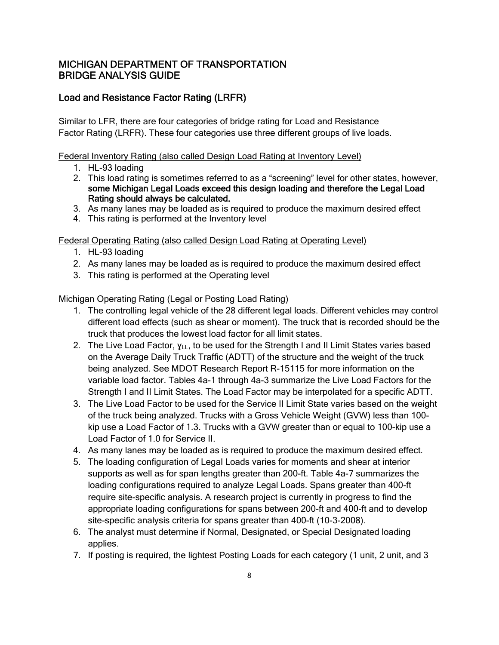### Load and Resistance Factor Rating (LRFR)

Similar to LFR, there are four categories of bridge rating for Load and Resistance Factor Rating (LRFR). These four categories use three different groups of live loads.

Federal Inventory Rating (also called Design Load Rating at Inventory Level)

- 1. HL-93 loading
- 2. This load rating is sometimes referred to as a "screening" level for other states, however, some Michigan Legal Loads exceed this design loading and therefore the Legal Load Rating should always be calculated.
- 3. As many lanes may be loaded as is required to produce the maximum desired effect
- 4. This rating is performed at the Inventory level

Federal Operating Rating (also called Design Load Rating at Operating Level)

- 1. HL-93 loading
- 2. As many lanes may be loaded as is required to produce the maximum desired effect
- 3. This rating is performed at the Operating level

Michigan Operating Rating (Legal or Posting Load Rating)

- 1. The controlling legal vehicle of the 28 different legal loads. Different vehicles may control different load effects (such as shear or moment). The truck that is recorded should be the truck that produces the lowest load factor for all limit states.
- 2. The Live Load Factor,  $\gamma_{LL}$ , to be used for the Strength I and II Limit States varies based on the Average Daily Truck Traffic (ADTT) of the structure and the weight of the truck being analyzed. See MDOT Research Report R-15115 for more information on the variable load factor. Tables 4a-1 through 4a-3 summarize the Live Load Factors for the Strength I and II Limit States. The Load Factor may be interpolated for a specific ADTT.
- 3. The Live Load Factor to be used for the Service II Limit State varies based on the weight of the truck being analyzed. Trucks with a Gross Vehicle Weight (GVW) less than 100 kip use a Load Factor of 1.3. Trucks with a GVW greater than or equal to 100-kip use a Load Factor of 1.0 for Service II.
- 4. As many lanes may be loaded as is required to produce the maximum desired effect.
- 5. The loading configuration of Legal Loads varies for moments and shear at interior supports as well as for span lengths greater than 200-ft. Table 4a-7 summarizes the loading configurations required to analyze Legal Loads. Spans greater than 400-ft require site-specific analysis. A research project is currently in progress to find the appropriate loading configurations for spans between 200-ft and 400-ft and to develop site-specific analysis criteria for spans greater than 400-ft (10-3-2008).
- 6. The analyst must determine if Normal, Designated, or Special Designated loading applies.
- 7. If posting is required, the lightest Posting Loads for each category (1 unit, 2 unit, and 3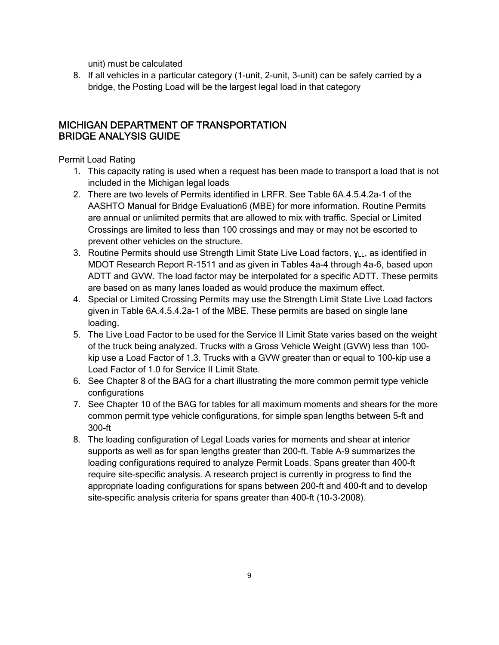unit) must be calculated

8. If all vehicles in a particular category (1-unit, 2-unit, 3-unit) can be safely carried by a bridge, the Posting Load will be the largest legal load in that category

#### MICHIGAN DEPARTMENT OF TRANSPORTATION BRIDGE ANALYSIS GUIDE

#### Permit Load Rating

- 1. This capacity rating is used when a request has been made to transport a load that is not included in the Michigan legal loads
- 2. There are two levels of Permits identified in LRFR. See Table 6A.4.5.4.2a-1 of the AASHTO Manual for Bridge Evaluation6 (MBE) for more information. Routine Permits are annual or unlimited permits that are allowed to mix with traffic. Special or Limited Crossings are limited to less than 100 crossings and may or may not be escorted to prevent other vehicles on the structure.
- 3. Routine Permits should use Strength Limit State Live Load factors,  $y_{LL}$ , as identified in MDOT Research Report R-1511 and as given in Tables 4a-4 through 4a-6, based upon ADTT and GVW. The load factor may be interpolated for a specific ADTT. These permits are based on as many lanes loaded as would produce the maximum effect.
- 4. Special or Limited Crossing Permits may use the Strength Limit State Live Load factors given in Table 6A.4.5.4.2a-1 of the MBE. These permits are based on single lane loading.
- 5. The Live Load Factor to be used for the Service II Limit State varies based on the weight of the truck being analyzed. Trucks with a Gross Vehicle Weight (GVW) less than 100 kip use a Load Factor of 1.3. Trucks with a GVW greater than or equal to 100-kip use a Load Factor of 1.0 for Service II Limit State.
- 6. See Chapter 8 of the BAG for a chart illustrating the more common permit type vehicle configurations
- 7. See Chapter 10 of the BAG for tables for all maximum moments and shears for the more common permit type vehicle configurations, for simple span lengths between 5-ft and 300-ft
- 8. The loading configuration of Legal Loads varies for moments and shear at interior supports as well as for span lengths greater than 200-ft. Table A-9 summarizes the loading configurations required to analyze Permit Loads. Spans greater than 400-ft require site-specific analysis. A research project is currently in progress to find the appropriate loading configurations for spans between 200-ft and 400-ft and to develop site-specific analysis criteria for spans greater than 400-ft (10-3-2008).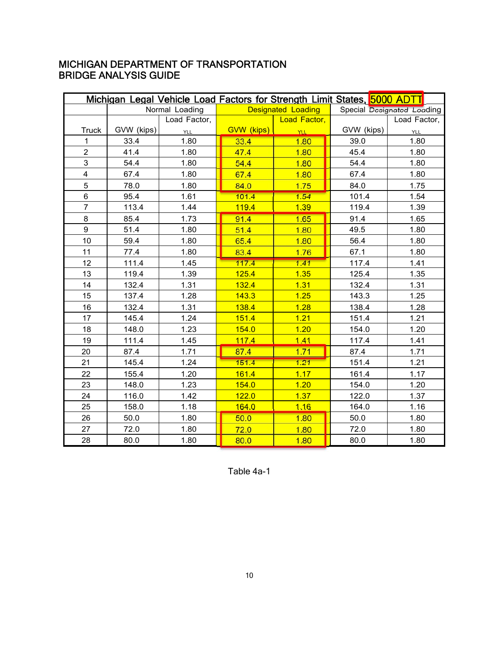|                         |            |                |                   |                           | Michigan Legal Vehicle Load Factors for Strength Limit States, 5000 ADTT |                            |
|-------------------------|------------|----------------|-------------------|---------------------------|--------------------------------------------------------------------------|----------------------------|
|                         |            | Normal Loading |                   | <b>Designated Loading</b> |                                                                          | Special Designated Loading |
|                         |            | Load Factor,   |                   | Load Factor,              |                                                                          | Load Factor,               |
| <b>Truck</b>            | GVW (kips) | YLL            | <b>GVW</b> (kips) | <b>YLL</b>                | GVW (kips)                                                               | <b>YLL</b>                 |
| 1                       | 33.4       | 1.80           | 33.4              | 1.80                      | 39.0                                                                     | 1.80                       |
| $\overline{2}$          | 41.4       | 1.80           | 47.4              | 1.80                      | 45.4                                                                     | 1.80                       |
| 3                       | 54.4       | 1.80           | 54.4              | 1.80                      | 54.4                                                                     | 1.80                       |
| $\overline{\mathbf{4}}$ | 67.4       | 1.80           | 67.4              | 1.80                      | 67.4                                                                     | 1.80                       |
| 5                       | 78.0       | 1.80           | 84.0              | 1.75                      | 84.0                                                                     | 1.75                       |
| 6                       | 95.4       | 1.61           | 101.4             | 1.54                      | 101.4                                                                    | 1.54                       |
| $\overline{7}$          | 113.4      | 1.44           | 119.4             | 1,39                      | 119.4                                                                    | 1.39                       |
| 8                       | 85.4       | 1.73           | 91.4              | 1.65                      | 91.4                                                                     | 1.65                       |
| 9                       | 51.4       | 1.80           | 51.4              | 1.80                      | 49.5                                                                     | 1.80                       |
| 10                      | 59.4       | 1.80           | 65.4              | 1.80                      | 56.4                                                                     | 1.80                       |
| 11                      | 77.4       | 1.80           | 83.4              | 1.76                      | 67.1                                                                     | 1.80                       |
| 12                      | 111.4      | 1.45           | 117.4             | 1.41                      | 117.4                                                                    | 1.41                       |
| 13                      | 119.4      | 1.39           | 125.4             | 1.35                      | 125.4                                                                    | 1.35                       |
| 14                      | 132.4      | 1.31           | 132.4             | 1.31                      | 132.4                                                                    | 1.31                       |
| 15                      | 137.4      | 1.28           | 143.3             | 1.25                      | 143.3                                                                    | 1.25                       |
| 16                      | 132.4      | 1.31           | 138.4             | 1.28                      | 138.4                                                                    | 1.28                       |
| 17                      | 145.4      | 1.24           | 151.4             | 1.21                      | 151.4                                                                    | 1.21                       |
| 18                      | 148.0      | 1.23           | 154.0             | 1.20                      | 154.0                                                                    | 1.20                       |
| 19                      | 111.4      | 1.45           | 117.4             | 1.41                      | 117.4                                                                    | 1.41                       |
| 20                      | 87.4       | 1.71           | 87.4              | 1.71                      | 87.4                                                                     | 1.71                       |
| 21                      | 145.4      | 1.24           | 151.4             | 1.21                      | 151.4                                                                    | 1.21                       |
| 22                      | 155.4      | 1.20           | 161.4             | 1.17                      | 161.4                                                                    | 1.17                       |
| 23                      | 148.0      | 1.23           | 154.0             | 1.20                      | 154.0                                                                    | 1.20                       |
| 24                      | 116.0      | 1.42           | 122.0             | 1.37                      | 122.0                                                                    | 1.37                       |
| 25                      | 158.0      | 1.18           | 164.0             | 1.16                      | 164.0                                                                    | 1.16                       |
| 26                      | 50.0       | 1.80           | 50.0              | 1.80                      | 50.0                                                                     | 1.80                       |
| 27                      | 72.0       | 1.80           | 72.0              | 1.80                      | 72.0                                                                     | 1.80                       |
| 28                      | 80.0       | 1.80           | 80.0              | 1.80                      | 80.0                                                                     | 1.80                       |

Table 4a-1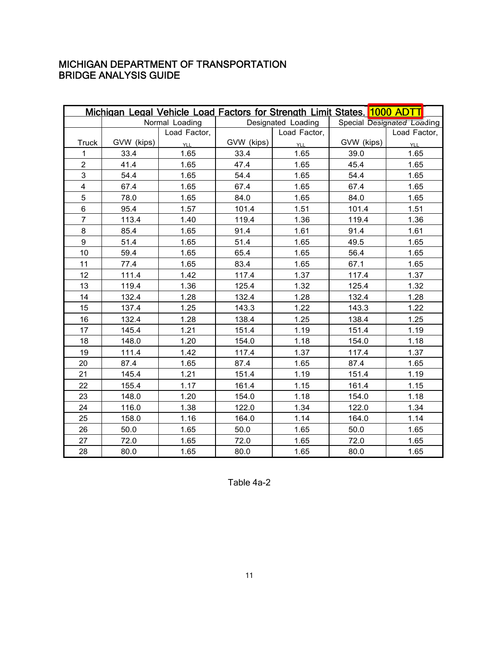|                         |            | Michigan Legal Vehicle Load Factors for Strength Limit States, 1000 ADTT |            |                    |            |                            |
|-------------------------|------------|--------------------------------------------------------------------------|------------|--------------------|------------|----------------------------|
|                         |            | Normal Loading                                                           |            | Designated Loading |            | Special Designated Loading |
|                         |            | Load Factor,                                                             |            | Load Factor,       |            | Load Factor,               |
| <b>Truck</b>            | GVW (kips) | <b>YLL</b>                                                               | GVW (kips) | <b>YLL</b>         | GVW (kips) | YLL                        |
| 1                       | 33.4       | 1.65                                                                     | 33.4       | 1.65               | 39.0       | 1.65                       |
| $\overline{2}$          | 41.4       | 1.65                                                                     | 47.4       | 1.65               | 45.4       | 1.65                       |
| 3                       | 54.4       | 1.65                                                                     | 54.4       | 1.65               | 54.4       | 1.65                       |
| $\overline{\mathbf{4}}$ | 67.4       | 1.65                                                                     | 67.4       | 1.65               | 67.4       | 1.65                       |
| 5                       | 78.0       | 1.65                                                                     | 84.0       | 1.65               | 84.0       | 1.65                       |
| 6                       | 95.4       | 1.57                                                                     | 101.4      | 1.51               | 101.4      | 1.51                       |
| $\overline{7}$          | 113.4      | 1.40                                                                     | 119.4      | 1.36               | 119.4      | 1.36                       |
| 8                       | 85.4       | 1.65                                                                     | 91.4       | 1.61               | 91.4       | 1.61                       |
| 9                       | 51.4       | 1.65                                                                     | 51.4       | 1.65               | 49.5       | 1.65                       |
| 10                      | 59.4       | 1.65                                                                     | 65.4       | 1.65               | 56.4       | 1.65                       |
| 11                      | 77.4       | 1.65                                                                     | 83.4       | 1.65               | 67.1       | 1.65                       |
| 12                      | 111.4      | 1.42                                                                     | 117.4      | 1.37               | 117.4      | 1.37                       |
| 13                      | 119.4      | 1.36                                                                     | 125.4      | 1.32               | 125.4      | 1.32                       |
| 14                      | 132.4      | 1.28                                                                     | 132.4      | 1.28               | 132.4      | 1.28                       |
| 15                      | 137.4      | 1.25                                                                     | 143.3      | 1.22               | 143.3      | 1.22                       |
| 16                      | 132.4      | 1.28                                                                     | 138.4      | 1.25               | 138.4      | 1.25                       |
| 17                      | 145.4      | 1.21                                                                     | 151.4      | 1.19               | 151.4      | 1.19                       |
| 18                      | 148.0      | 1.20                                                                     | 154.0      | 1.18               | 154.0      | 1.18                       |
| 19                      | 111.4      | 1.42                                                                     | 117.4      | 1.37               | 117.4      | 1.37                       |
| 20                      | 87.4       | 1.65                                                                     | 87.4       | 1.65               | 87.4       | 1.65                       |
| 21                      | 145.4      | 1.21                                                                     | 151.4      | 1.19               | 151.4      | 1.19                       |
| 22                      | 155.4      | 1.17                                                                     | 161.4      | 1.15               | 161.4      | 1.15                       |
| 23                      | 148.0      | 1.20                                                                     | 154.0      | 1.18               | 154.0      | 1.18                       |
| 24                      | 116.0      | 1.38                                                                     | 122.0      | 1.34               | 122.0      | 1.34                       |
| 25                      | 158.0      | 1.16                                                                     | 164.0      | 1.14               | 164.0      | 1.14                       |
| 26                      | 50.0       | 1.65                                                                     | 50.0       | 1.65               | 50.0       | 1.65                       |
| 27                      | 72.0       | 1.65                                                                     | 72.0       | 1.65               | 72.0       | 1.65                       |
| 28                      | 80.0       | 1.65                                                                     | 80.0       | 1.65               | 80.0       | 1.65                       |

Table 4a-2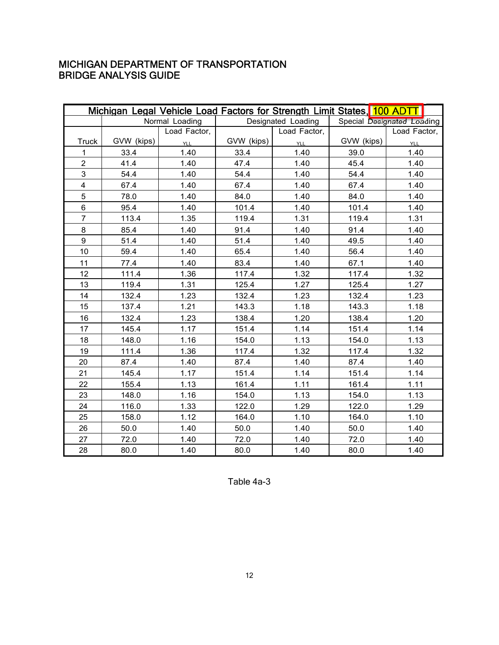|                         |            | Michigan Legal Vehicle Load Factors for Strength Limit States, 100 ADTT |            |                    |            |                            |
|-------------------------|------------|-------------------------------------------------------------------------|------------|--------------------|------------|----------------------------|
|                         |            | Normal Loading                                                          |            | Designated Loading |            | Special Designated Loading |
|                         |            | Load Factor,                                                            |            | Load Factor,       |            | Load Factor,               |
| <b>Truck</b>            | GVW (kips) | YLL                                                                     | GVW (kips) | <b>YLL</b>         | GVW (kips) | <b>YLL</b>                 |
| 1                       | 33.4       | 1.40                                                                    | 33.4       | 1.40               | 39.0       | 1.40                       |
| $\overline{2}$          | 41.4       | 1.40                                                                    | 47.4       | 1.40               | 45.4       | 1.40                       |
| 3                       | 54.4       | 1.40                                                                    | 54.4       | 1.40               | 54.4       | 1.40                       |
| $\overline{\mathbf{4}}$ | 67.4       | 1.40                                                                    | 67.4       | 1.40               | 67.4       | 1.40                       |
| 5                       | 78.0       | 1.40                                                                    | 84.0       | 1.40               | 84.0       | 1.40                       |
| 6                       | 95.4       | 1.40                                                                    | 101.4      | 1.40               | 101.4      | 1.40                       |
| $\overline{7}$          | 113.4      | 1.35                                                                    | 119.4      | 1.31               | 119.4      | 1.31                       |
| 8                       | 85.4       | 1.40                                                                    | 91.4       | 1.40               | 91.4       | 1.40                       |
| 9                       | 51.4       | 1.40                                                                    | 51.4       | 1.40               | 49.5       | 1.40                       |
| 10                      | 59.4       | 1.40                                                                    | 65.4       | 1.40               | 56.4       | 1.40                       |
| 11                      | 77.4       | 1.40                                                                    | 83.4       | 1.40               | 67.1       | 1.40                       |
| 12                      | 111.4      | 1.36                                                                    | 117.4      | 1.32               | 117.4      | 1.32                       |
| 13                      | 119.4      | 1.31                                                                    | 125.4      | 1.27               | 125.4      | 1.27                       |
| 14                      | 132.4      | 1.23                                                                    | 132.4      | 1.23               | 132.4      | 1.23                       |
| 15                      | 137.4      | 1.21                                                                    | 143.3      | 1.18               | 143.3      | 1.18                       |
| 16                      | 132.4      | 1.23                                                                    | 138.4      | 1.20               | 138.4      | 1.20                       |
| 17                      | 145.4      | 1.17                                                                    | 151.4      | 1.14               | 151.4      | 1.14                       |
| 18                      | 148.0      | 1.16                                                                    | 154.0      | 1.13               | 154.0      | 1.13                       |
| 19                      | 111.4      | 1.36                                                                    | 117.4      | 1.32               | 117.4      | 1.32                       |
| 20                      | 87.4       | 1.40                                                                    | 87.4       | 1.40               | 87.4       | 1.40                       |
| 21                      | 145.4      | 1.17                                                                    | 151.4      | 1.14               | 151.4      | 1.14                       |
| 22                      | 155.4      | 1.13                                                                    | 161.4      | 1.11               | 161.4      | 1.11                       |
| 23                      | 148.0      | 1.16                                                                    | 154.0      | 1.13               | 154.0      | 1.13                       |
| 24                      | 116.0      | 1.33                                                                    | 122.0      | 1.29               | 122.0      | 1.29                       |
| 25                      | 158.0      | 1.12                                                                    | 164.0      | 1.10               | 164.0      | 1.10                       |
| 26                      | 50.0       | 1.40                                                                    | 50.0       | 1.40               | 50.0       | 1.40                       |
| 27                      | 72.0       | 1.40                                                                    | 72.0       | 1.40               | 72.0       | 1.40                       |
| 28                      | 80.0       | 1.40                                                                    | 80.0       | 1.40               | 80.0       | 1.40                       |

Table 4a-3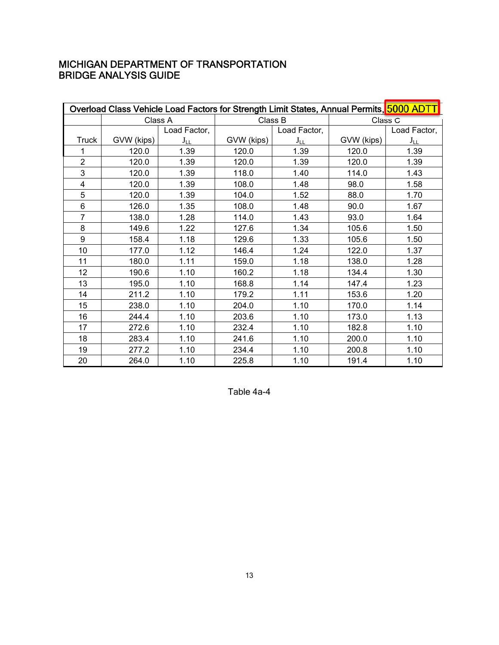|                | Overload Class Vehicle Load Factors for Strength Limit States, Annual Permits, 5000 ADTT |              |            |              |            |              |
|----------------|------------------------------------------------------------------------------------------|--------------|------------|--------------|------------|--------------|
|                | Class A                                                                                  |              | Class B    |              | Class C    |              |
|                |                                                                                          | Load Factor, |            | Load Factor, |            | Load Factor, |
| <b>Truck</b>   | GVW (kips)                                                                               | $J_{LL}$     | GVW (kips) | $J_{LL}$     | GVW (kips) | $J_{LL}$     |
| 1              | 120.0                                                                                    | 1.39         | 120.0      | 1.39         | 120.0      | 1.39         |
| $\overline{2}$ | 120.0                                                                                    | 1.39         | 120.0      | 1.39         | 120.0      | 1.39         |
| 3              | 120.0                                                                                    | 1.39         | 118.0      | 1.40         | 114.0      | 1.43         |
| 4              | 120.0                                                                                    | 1.39         | 108.0      | 1.48         | 98.0       | 1.58         |
| 5              | 120.0                                                                                    | 1.39         | 104.0      | 1.52         | 88.0       | 1.70         |
| 6              | 126.0                                                                                    | 1.35         | 108.0      | 1.48         | 90.0       | 1.67         |
| $\overline{7}$ | 138.0                                                                                    | 1.28         | 114.0      | 1.43         | 93.0       | 1.64         |
| 8              | 149.6                                                                                    | 1.22         | 127.6      | 1.34         | 105.6      | 1.50         |
| 9              | 158.4                                                                                    | 1.18         | 129.6      | 1.33         | 105.6      | 1.50         |
| 10             | 177.0                                                                                    | 1.12         | 146.4      | 1.24         | 122.0      | 1.37         |
| 11             | 180.0                                                                                    | 1.11         | 159.0      | 1.18         | 138.0      | 1.28         |
| 12             | 190.6                                                                                    | 1.10         | 160.2      | 1.18         | 134.4      | 1.30         |
| 13             | 195.0                                                                                    | 1.10         | 168.8      | 1.14         | 147.4      | 1.23         |
| 14             | 211.2                                                                                    | 1.10         | 179.2      | 1.11         | 153.6      | 1.20         |
| 15             | 238.0                                                                                    | 1.10         | 204.0      | 1.10         | 170.0      | 1.14         |
| 16             | 244.4                                                                                    | 1.10         | 203.6      | 1.10         | 173.0      | 1.13         |
| 17             | 272.6                                                                                    | 1.10         | 232.4      | 1.10         | 182.8      | 1.10         |
| 18             | 283.4                                                                                    | 1.10         | 241.6      | 1.10         | 200.0      | 1.10         |
| 19             | 277.2                                                                                    | 1.10         | 234.4      | 1.10         | 200.8      | 1.10         |
| 20             | 264.0                                                                                    | 1.10         | 225.8      | 1.10         | 191.4      | 1.10         |

Table 4a-4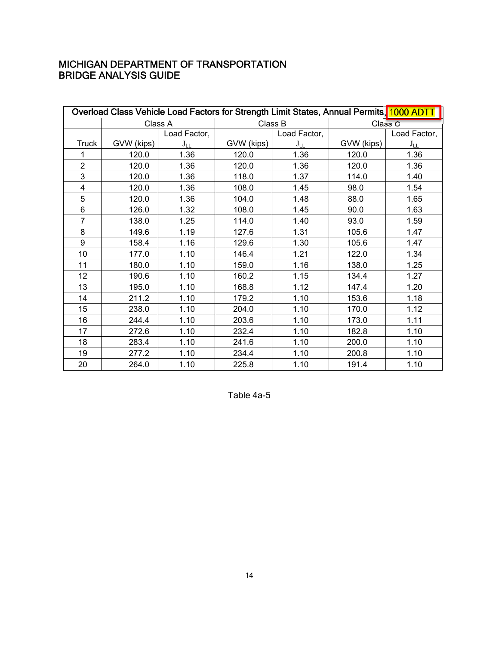| Overload Class Vehicle Load Factors for Strength Limit States, Annual Permits, 1000 ADTT |            |              |            |              |            |                    |  |  |
|------------------------------------------------------------------------------------------|------------|--------------|------------|--------------|------------|--------------------|--|--|
|                                                                                          | Class A    |              |            | Class B      |            | Class <sub>C</sub> |  |  |
|                                                                                          |            | Load Factor, |            | Load Factor, |            | Load Factor,       |  |  |
| <b>Truck</b>                                                                             | GVW (kips) | $J_{LL}$     | GVW (kips) | $J_{LL}$     | GVW (kips) | $J_{LL}$           |  |  |
| 1                                                                                        | 120.0      | 1.36         | 120.0      | 1.36         | 120.0      | 1.36               |  |  |
| $\overline{2}$                                                                           | 120.0      | 1.36         | 120.0      | 1.36         | 120.0      | 1.36               |  |  |
| 3                                                                                        | 120.0      | 1.36         | 118.0      | 1.37         | 114.0      | 1.40               |  |  |
| 4                                                                                        | 120.0      | 1.36         | 108.0      | 1.45         | 98.0       | 1.54               |  |  |
| 5                                                                                        | 120.0      | 1.36         | 104.0      | 1.48         | 88.0       | 1.65               |  |  |
| 6                                                                                        | 126.0      | 1.32         | 108.0      | 1.45         | 90.0       | 1.63               |  |  |
| $\overline{7}$                                                                           | 138.0      | 1.25         | 114.0      | 1.40         | 93.0       | 1.59               |  |  |
| 8                                                                                        | 149.6      | 1.19         | 127.6      | 1.31         | 105.6      | 1.47               |  |  |
| 9                                                                                        | 158.4      | 1.16         | 129.6      | 1.30         | 105.6      | 1.47               |  |  |
| 10                                                                                       | 177.0      | 1.10         | 146.4      | 1.21         | 122.0      | 1.34               |  |  |
| 11                                                                                       | 180.0      | 1.10         | 159.0      | 1.16         | 138.0      | 1.25               |  |  |
| 12                                                                                       | 190.6      | 1.10         | 160.2      | 1.15         | 134.4      | 1.27               |  |  |
| 13                                                                                       | 195.0      | 1.10         | 168.8      | 1.12         | 147.4      | 1.20               |  |  |
| 14                                                                                       | 211.2      | 1.10         | 179.2      | 1.10         | 153.6      | 1.18               |  |  |
| 15                                                                                       | 238.0      | 1.10         | 204.0      | 1.10         | 170.0      | 1.12               |  |  |
| 16                                                                                       | 244.4      | 1.10         | 203.6      | 1.10         | 173.0      | 1.11               |  |  |
| 17                                                                                       | 272.6      | 1.10         | 232.4      | 1.10         | 182.8      | 1.10               |  |  |
| 18                                                                                       | 283.4      | 1.10         | 241.6      | 1.10         | 200.0      | 1.10               |  |  |
| 19                                                                                       | 277.2      | 1.10         | 234.4      | 1.10         | 200.8      | 1.10               |  |  |
| 20                                                                                       | 264.0      | 1.10         | 225.8      | 1.10         | 191.4      | 1.10               |  |  |

Table 4a-5